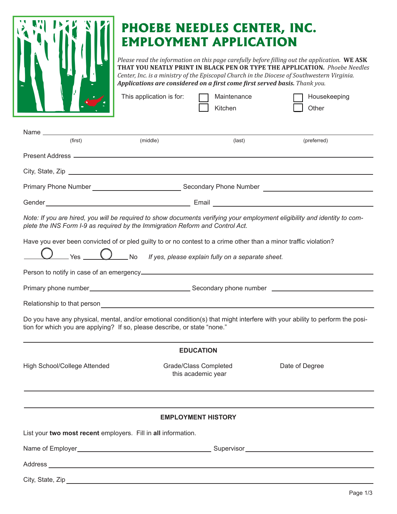

## **PHOEBE NEEDLES CENTER, INC. EMPLOYMENT APPLICATION**

*Please read the information on this page carefully before filling out the application.* **WE ASK THAT YOU NEATLY PRINT IN BLACK PEN OR TYPE THE APPLICATION.** *Phoebe Needles Center, Inc. is a ministry of the Episcopal Church in the Diocese of Southwestern Virginia. Applications are considered on a first come first served basis. Thank you.*

|                                                                                                                                                                                                   | This application is for: | Maintenance<br>Kitchen                                                       | Housekeeping<br>Other                                                                                                       |
|---------------------------------------------------------------------------------------------------------------------------------------------------------------------------------------------------|--------------------------|------------------------------------------------------------------------------|-----------------------------------------------------------------------------------------------------------------------------|
|                                                                                                                                                                                                   |                          |                                                                              |                                                                                                                             |
| (first)                                                                                                                                                                                           | (middle)                 | (last)                                                                       | (preferred)                                                                                                                 |
|                                                                                                                                                                                                   |                          |                                                                              |                                                                                                                             |
|                                                                                                                                                                                                   |                          |                                                                              |                                                                                                                             |
|                                                                                                                                                                                                   |                          |                                                                              |                                                                                                                             |
|                                                                                                                                                                                                   |                          |                                                                              |                                                                                                                             |
| plete the INS Form I-9 as required by the Immigration Reform and Control Act.<br>Have you ever been convicted of or pled guilty to or no contest to a crime other than a minor traffic violation? |                          | $\bigcup$ Yes $\bigcup$ No If yes, please explain fully on a separate sheet. | Note: If you are hired, you will be required to show documents verifying your employment eligibility and identity to com-   |
|                                                                                                                                                                                                   |                          |                                                                              |                                                                                                                             |
| tion for which you are applying? If so, please describe, or state "none."                                                                                                                         |                          |                                                                              | Do you have any physical, mental, and/or emotional condition(s) that might interfere with your ability to perform the posi- |
|                                                                                                                                                                                                   |                          | <b>EDUCATION</b>                                                             |                                                                                                                             |
| High School/College Attended                                                                                                                                                                      |                          | Grade/Class Completed<br>this academic year                                  | Date of Degree                                                                                                              |
|                                                                                                                                                                                                   |                          |                                                                              |                                                                                                                             |
|                                                                                                                                                                                                   |                          | <b>EMPLOYMENT HISTORY</b>                                                    |                                                                                                                             |
| List your two most recent employers. Fill in all information.                                                                                                                                     |                          |                                                                              |                                                                                                                             |
|                                                                                                                                                                                                   |                          |                                                                              |                                                                                                                             |
|                                                                                                                                                                                                   |                          |                                                                              |                                                                                                                             |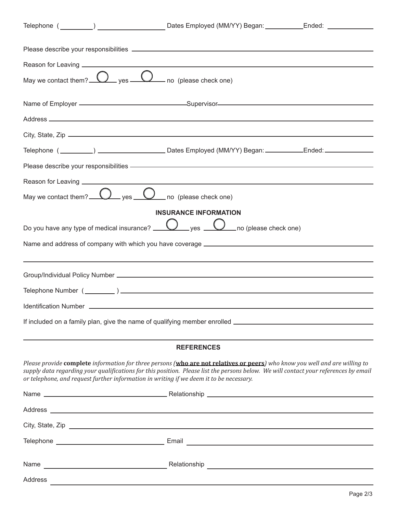| Reason for Leaving ____________________                                                                                    |                                                                                                                                                                                                                                                                     |  |  |
|----------------------------------------------------------------------------------------------------------------------------|---------------------------------------------------------------------------------------------------------------------------------------------------------------------------------------------------------------------------------------------------------------------|--|--|
| May we contact them? $\bigcirc$ yes $\bigcirc$ no (please check one)                                                       |                                                                                                                                                                                                                                                                     |  |  |
|                                                                                                                            |                                                                                                                                                                                                                                                                     |  |  |
|                                                                                                                            |                                                                                                                                                                                                                                                                     |  |  |
|                                                                                                                            |                                                                                                                                                                                                                                                                     |  |  |
|                                                                                                                            |                                                                                                                                                                                                                                                                     |  |  |
|                                                                                                                            | Please describe your responsibilities example and the state of the state of the state of the state of the state of                                                                                                                                                  |  |  |
|                                                                                                                            |                                                                                                                                                                                                                                                                     |  |  |
| May we contact them? $\Omega$ yes $\Omega$ no (please check one)                                                           |                                                                                                                                                                                                                                                                     |  |  |
|                                                                                                                            | <b>INSURANCE INFORMATION</b>                                                                                                                                                                                                                                        |  |  |
| Do you have any type of medical insurance? $\bigcup_{y \in S} \bigcup_{y \in S}$ no (please check one)                     |                                                                                                                                                                                                                                                                     |  |  |
|                                                                                                                            |                                                                                                                                                                                                                                                                     |  |  |
|                                                                                                                            |                                                                                                                                                                                                                                                                     |  |  |
|                                                                                                                            |                                                                                                                                                                                                                                                                     |  |  |
|                                                                                                                            |                                                                                                                                                                                                                                                                     |  |  |
|                                                                                                                            |                                                                                                                                                                                                                                                                     |  |  |
|                                                                                                                            |                                                                                                                                                                                                                                                                     |  |  |
|                                                                                                                            |                                                                                                                                                                                                                                                                     |  |  |
|                                                                                                                            | <b>REFERENCES</b>                                                                                                                                                                                                                                                   |  |  |
| or telephone, and request further information in writing if we deem it to be necessary.                                    | Please provide complete information for three persons (who are not relatives or peers) who know you well and are willing to<br>supply data regarding your qualifications for this position. Please list the persons below. We will contact your references by email |  |  |
|                                                                                                                            |                                                                                                                                                                                                                                                                     |  |  |
|                                                                                                                            |                                                                                                                                                                                                                                                                     |  |  |
|                                                                                                                            |                                                                                                                                                                                                                                                                     |  |  |
|                                                                                                                            |                                                                                                                                                                                                                                                                     |  |  |
|                                                                                                                            |                                                                                                                                                                                                                                                                     |  |  |
| Address<br>the contract of the contract of the contract of the contract of the contract of the contract of the contract of |                                                                                                                                                                                                                                                                     |  |  |